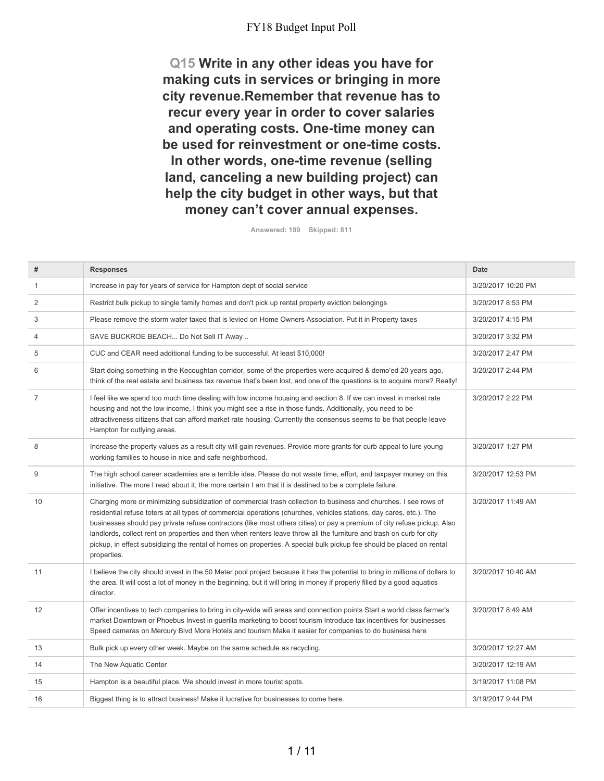**Q15 Write in any other ideas you have for making cuts in services or bringing in more city revenue.Remember that revenue has to recur every year in order to cover salaries and operating costs. One-time money can be used for reinvestment or one-time costs. In other words, one-time revenue (selling land, canceling a new building project) can help the city budget in other ways, but that money can't cover annual expenses.**

**Answered: 199 Skipped: 811**

| #              | <b>Responses</b>                                                                                                                                                                                                                                                                                                                                                                                                                                                                                                                                                                                                                   | <b>Date</b>        |
|----------------|------------------------------------------------------------------------------------------------------------------------------------------------------------------------------------------------------------------------------------------------------------------------------------------------------------------------------------------------------------------------------------------------------------------------------------------------------------------------------------------------------------------------------------------------------------------------------------------------------------------------------------|--------------------|
| $\mathbf{1}$   | Increase in pay for years of service for Hampton dept of social service                                                                                                                                                                                                                                                                                                                                                                                                                                                                                                                                                            | 3/20/2017 10:20 PM |
| 2              | Restrict bulk pickup to single family homes and don't pick up rental property eviction belongings                                                                                                                                                                                                                                                                                                                                                                                                                                                                                                                                  | 3/20/2017 8:53 PM  |
| 3              | Please remove the storm water taxed that is levied on Home Owners Association. Put it in Property taxes                                                                                                                                                                                                                                                                                                                                                                                                                                                                                                                            | 3/20/2017 4:15 PM  |
| $\overline{4}$ | SAVE BUCKROE BEACH Do Not Sell IT Away                                                                                                                                                                                                                                                                                                                                                                                                                                                                                                                                                                                             | 3/20/2017 3:32 PM  |
| 5              | CUC and CEAR need additional funding to be successful. At least \$10,000!                                                                                                                                                                                                                                                                                                                                                                                                                                                                                                                                                          | 3/20/2017 2:47 PM  |
| 6              | Start doing something in the Kecoughtan corridor, some of the properties were acquired & demo'ed 20 years ago,<br>think of the real estate and business tax revenue that's been lost, and one of the questions is to acquire more? Really!                                                                                                                                                                                                                                                                                                                                                                                         | 3/20/2017 2:44 PM  |
| $\overline{7}$ | I feel like we spend too much time dealing with low income housing and section 8. If we can invest in market rate<br>housing and not the low income, I think you might see a rise in those funds. Additionally, you need to be<br>attractiveness citizens that can afford market rate housing. Currently the consensus seems to be that people leave<br>Hampton for outlying areas.                                                                                                                                                                                                                                                | 3/20/2017 2:22 PM  |
| 8              | Increase the property values as a result city will gain revenues. Provide more grants for curb appeal to lure young<br>working families to house in nice and safe neighborhood.                                                                                                                                                                                                                                                                                                                                                                                                                                                    | 3/20/2017 1:27 PM  |
| 9              | The high school career academies are a terrible idea. Please do not waste time, effort, and taxpayer money on this<br>initiative. The more I read about it, the more certain I am that it is destined to be a complete failure.                                                                                                                                                                                                                                                                                                                                                                                                    | 3/20/2017 12:53 PM |
| 10             | Charging more or minimizing subsidization of commercial trash collection to business and churches. I see rows of<br>residential refuse toters at all types of commercial operations (churches, vehicles stations, day cares, etc.). The<br>businesses should pay private refuse contractors (like most others cities) or pay a premium of city refuse pickup. Also<br>landlords, collect rent on properties and then when renters leave throw all the furniture and trash on curb for city<br>pickup, in effect subsidizing the rental of homes on properties. A special bulk pickup fee should be placed on rental<br>properties. | 3/20/2017 11:49 AM |
| 11             | I believe the city should invest in the 50 Meter pool project because it has the potential to bring in millions of dollars to<br>the area. It will cost a lot of money in the beginning, but it will bring in money if properly filled by a good aquatics<br>director.                                                                                                                                                                                                                                                                                                                                                             | 3/20/2017 10:40 AM |
| 12             | Offer incentives to tech companies to bring in city-wide wifi areas and connection points Start a world class farmer's<br>market Downtown or Phoebus Invest in guerilla marketing to boost tourism Introduce tax incentives for businesses<br>Speed cameras on Mercury Blvd More Hotels and tourism Make it easier for companies to do business here                                                                                                                                                                                                                                                                               | 3/20/2017 8:49 AM  |
| 13             | Bulk pick up every other week. Maybe on the same schedule as recycling.                                                                                                                                                                                                                                                                                                                                                                                                                                                                                                                                                            | 3/20/2017 12:27 AM |
| 14             | The New Aquatic Center                                                                                                                                                                                                                                                                                                                                                                                                                                                                                                                                                                                                             | 3/20/2017 12:19 AM |
| 15             | Hampton is a beautiful place. We should invest in more tourist spots.                                                                                                                                                                                                                                                                                                                                                                                                                                                                                                                                                              | 3/19/2017 11:08 PM |
| 16             | Biggest thing is to attract business! Make it lucrative for businesses to come here.                                                                                                                                                                                                                                                                                                                                                                                                                                                                                                                                               | 3/19/2017 9:44 PM  |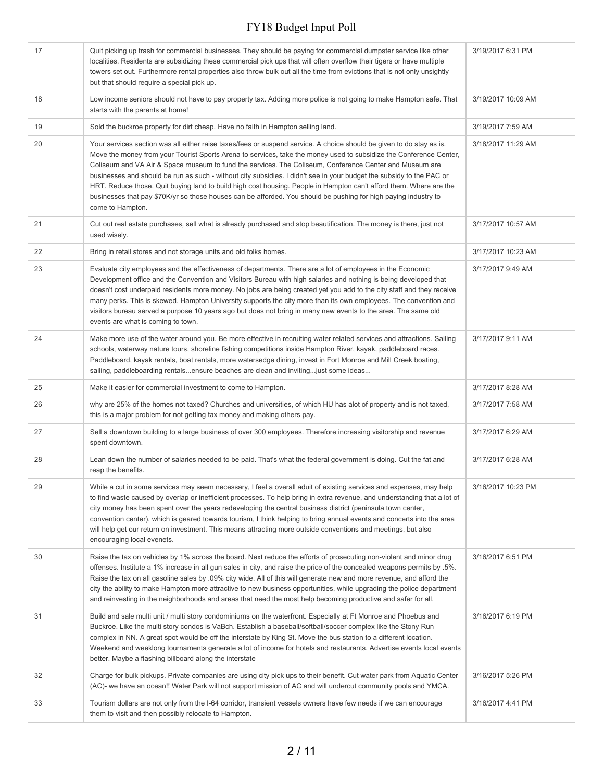| 17 | Quit picking up trash for commercial businesses. They should be paying for commercial dumpster service like other<br>localities. Residents are subsidizing these commercial pick ups that will often overflow their tigers or have multiple<br>towers set out. Furthermore rental properties also throw bulk out all the time from evictions that is not only unsightly<br>but that should require a special pick up.                                                                                                                                                                                                                                                                                                                      | 3/19/2017 6:31 PM  |
|----|--------------------------------------------------------------------------------------------------------------------------------------------------------------------------------------------------------------------------------------------------------------------------------------------------------------------------------------------------------------------------------------------------------------------------------------------------------------------------------------------------------------------------------------------------------------------------------------------------------------------------------------------------------------------------------------------------------------------------------------------|--------------------|
| 18 | Low income seniors should not have to pay property tax. Adding more police is not going to make Hampton safe. That<br>starts with the parents at home!                                                                                                                                                                                                                                                                                                                                                                                                                                                                                                                                                                                     | 3/19/2017 10:09 AM |
| 19 | Sold the buckroe property for dirt cheap. Have no faith in Hampton selling land.                                                                                                                                                                                                                                                                                                                                                                                                                                                                                                                                                                                                                                                           | 3/19/2017 7:59 AM  |
| 20 | Your services section was all either raise taxes/fees or suspend service. A choice should be given to do stay as is.<br>Move the money from your Tourist Sports Arena to services, take the money used to subsidize the Conference Center,<br>Coliseum and VA Air & Space museum to fund the services. The Coliseum, Conference Center and Museum are<br>businesses and should be run as such - without city subsidies. I didn't see in your budget the subsidy to the PAC or<br>HRT. Reduce those. Quit buying land to build high cost housing. People in Hampton can't afford them. Where are the<br>businesses that pay \$70K/yr so those houses can be afforded. You should be pushing for high paying industry to<br>come to Hampton. | 3/18/2017 11:29 AM |
| 21 | Cut out real estate purchases, sell what is already purchased and stop beautification. The money is there, just not<br>used wisely.                                                                                                                                                                                                                                                                                                                                                                                                                                                                                                                                                                                                        | 3/17/2017 10:57 AM |
| 22 | Bring in retail stores and not storage units and old folks homes.                                                                                                                                                                                                                                                                                                                                                                                                                                                                                                                                                                                                                                                                          | 3/17/2017 10:23 AM |
| 23 | Evaluate city employees and the effectiveness of departments. There are a lot of employees in the Economic<br>Development office and the Convention and Visitors Bureau with high salaries and nothing is being developed that<br>doesn't cost underpaid residents more money. No jobs are being created yet you add to the city staff and they receive<br>many perks. This is skewed. Hampton University supports the city more than its own employees. The convention and<br>visitors bureau served a purpose 10 years ago but does not bring in many new events to the area. The same old<br>events are what is coming to town.                                                                                                         | 3/17/2017 9:49 AM  |
| 24 | Make more use of the water around you. Be more effective in recruiting water related services and attractions. Sailing<br>schools, waterway nature tours, shoreline fishing competitions inside Hampton River, kayak, paddleboard races.<br>Paddleboard, kayak rentals, boat rentals, more watersedge dining, invest in Fort Monroe and Mill Creek boating,<br>sailing, paddleboarding rentalsensure beaches are clean and invitingjust some ideas                                                                                                                                                                                                                                                                                         | 3/17/2017 9:11 AM  |
| 25 | Make it easier for commercial investment to come to Hampton.                                                                                                                                                                                                                                                                                                                                                                                                                                                                                                                                                                                                                                                                               | 3/17/2017 8:28 AM  |
|    |                                                                                                                                                                                                                                                                                                                                                                                                                                                                                                                                                                                                                                                                                                                                            |                    |
| 26 | why are 25% of the homes not taxed? Churches and universities, of which HU has alot of property and is not taxed,<br>this is a major problem for not getting tax money and making others pay.                                                                                                                                                                                                                                                                                                                                                                                                                                                                                                                                              | 3/17/2017 7:58 AM  |
| 27 | Sell a downtown building to a large business of over 300 employees. Therefore increasing visitorship and revenue<br>spent downtown.                                                                                                                                                                                                                                                                                                                                                                                                                                                                                                                                                                                                        | 3/17/2017 6:29 AM  |
| 28 | Lean down the number of salaries needed to be paid. That's what the federal government is doing. Cut the fat and<br>reap the benefits.                                                                                                                                                                                                                                                                                                                                                                                                                                                                                                                                                                                                     | 3/17/2017 6:28 AM  |
| 29 | While a cut in some services may seem necessary, I feel a overall aduit of existing services and expenses, may help<br>to find waste caused by overlap or inefficient processes. To help bring in extra revenue, and understanding that a lot of<br>city money has been spent over the years redeveloping the central business district (peninsula town center,<br>convention center), which is geared towards tourism, I think helping to bring annual events and concerts into the area<br>will help get our return on investment. This means attracting more outside conventions and meetings, but also<br>encouraging local evenets.                                                                                                   | 3/16/2017 10:23 PM |
| 30 | Raise the tax on vehicles by 1% across the board. Next reduce the efforts of prosecuting non-violent and minor drug<br>offenses. Institute a 1% increase in all gun sales in city, and raise the price of the concealed weapons permits by .5%.<br>Raise the tax on all gasoline sales by .09% city wide. All of this will generate new and more revenue, and afford the<br>city the ability to make Hampton more attractive to new business opportunities, while upgrading the police department<br>and reinvesting in the neighborhoods and areas that need the most help becoming productive and safer for all.                                                                                                                         | 3/16/2017 6:51 PM  |
| 31 | Build and sale multi unit / multi story condominiums on the waterfront. Especially at Ft Monroe and Phoebus and<br>Buckroe. Like the multi story condos is VaBch. Establish a baseball/softball/soccer complex like the Stony Run<br>complex in NN. A great spot would be off the interstate by King St. Move the bus station to a different location.<br>Weekend and weeklong tournaments generate a lot of income for hotels and restaurants. Advertise events local events<br>better. Maybe a flashing billboard along the interstate                                                                                                                                                                                                   | 3/16/2017 6:19 PM  |
| 32 | Charge for bulk pickups. Private companies are using city pick ups to their benefit. Cut water park from Aquatic Center<br>(AC)- we have an ocean!! Water Park will not support mission of AC and will undercut community pools and YMCA.                                                                                                                                                                                                                                                                                                                                                                                                                                                                                                  | 3/16/2017 5:26 PM  |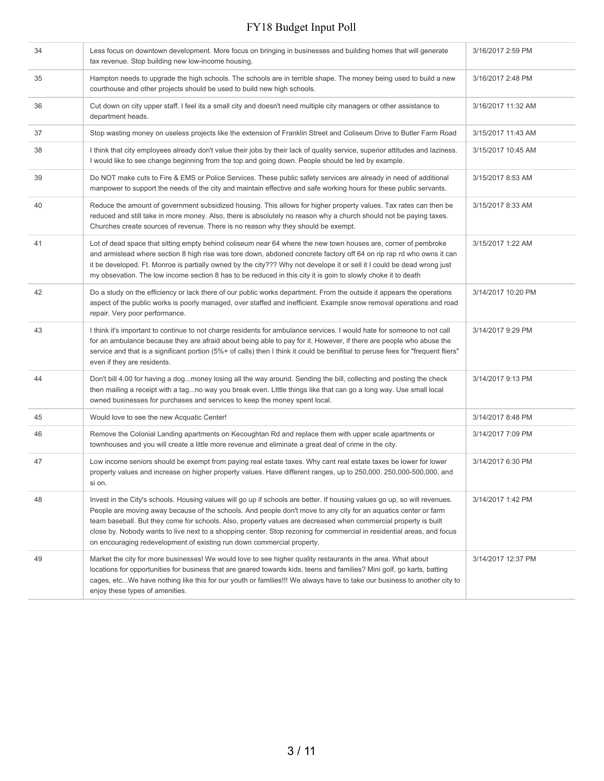| 34 | Less focus on downtown development. More focus on bringing in businesses and building homes that will generate<br>tax revenue. Stop building new low-income housing.                                                                                                                                                                                                                                                                                                                                                                                                | 3/16/2017 2:59 PM  |
|----|---------------------------------------------------------------------------------------------------------------------------------------------------------------------------------------------------------------------------------------------------------------------------------------------------------------------------------------------------------------------------------------------------------------------------------------------------------------------------------------------------------------------------------------------------------------------|--------------------|
| 35 | Hampton needs to upgrade the high schools. The schools are in terrible shape. The money being used to build a new<br>courthouse and other projects should be used to build new high schools.                                                                                                                                                                                                                                                                                                                                                                        | 3/16/2017 2:48 PM  |
| 36 | Cut down on city upper staff. I feel its a small city and doesn't need multiple city managers or other assistance to<br>department heads.                                                                                                                                                                                                                                                                                                                                                                                                                           | 3/16/2017 11:32 AM |
| 37 | Stop wasting money on useless projects like the extension of Franklin Street and Coliseum Drive to Butler Farm Road                                                                                                                                                                                                                                                                                                                                                                                                                                                 | 3/15/2017 11:43 AM |
| 38 | I think that city employees already don't value their jobs by their lack of quality service, superior attitudes and laziness.<br>I would like to see change beginning from the top and going down. People should be led by example.                                                                                                                                                                                                                                                                                                                                 | 3/15/2017 10:45 AM |
| 39 | Do NOT make cuts to Fire & EMS or Police Services. These public safety services are already in need of additional<br>manpower to support the needs of the city and maintain effective and safe working hours for these public servants.                                                                                                                                                                                                                                                                                                                             | 3/15/2017 8:53 AM  |
| 40 | Reduce the amount of government subsidized housing. This allows for higher property values. Tax rates can then be<br>reduced and still take in more money. Also, there is absolutely no reason why a church should not be paying taxes.<br>Churches create sources of revenue. There is no reason why they should be exempt.                                                                                                                                                                                                                                        | 3/15/2017 8:33 AM  |
| 41 | Lot of dead space that sitting empty behind coliseum near 64 where the new town houses are, corner of pembroke<br>and armistead where section 8 high rise was tore down, abdoned concrete factory off 64 on rip rap rd who owns it can<br>it be developed. Ft. Monroe is partially owned by the city??? Why not develope it or sell it I could be dead wrong just<br>my obsevation. The low income section 8 has to be reduced in this city it is goin to slowly choke it to death                                                                                  | 3/15/2017 1:22 AM  |
| 42 | Do a study on the efficiency or lack there of our public works department. From the outside it appears the operations<br>aspect of the public works is poorly managed, over staffed and inefficient. Example snow removal operations and road<br>repair. Very poor performance.                                                                                                                                                                                                                                                                                     | 3/14/2017 10:20 PM |
| 43 | I think it's important to continue to not charge residents for ambulance services. I would hate for someone to not call<br>for an ambulance because they are afraid about being able to pay for it. However, if there are people who abuse the<br>service and that is a significant portion (5%+ of calls) then I think it could be benifitial to peruse fees for "frequent fliers"<br>even if they are residents.                                                                                                                                                  | 3/14/2017 9:29 PM  |
| 44 | Don't bill 4.00 for having a dogmoney losing all the way around. Sending the bill, collecting and posting the check<br>then mailing a receipt with a tagno way you break even. Little things like that can go a long way. Use small local<br>owned businesses for purchases and services to keep the money spent local.                                                                                                                                                                                                                                             | 3/14/2017 9:13 PM  |
| 45 | Would love to see the new Acquatic Center!                                                                                                                                                                                                                                                                                                                                                                                                                                                                                                                          | 3/14/2017 8:48 PM  |
| 46 | Remove the Colonial Landing apartments on Kecoughtan Rd and replace them with upper scale apartments or<br>townhouses and you will create a little more revenue and eliminate a great deal of crime in the city.                                                                                                                                                                                                                                                                                                                                                    | 3/14/2017 7:09 PM  |
| 47 | Low income seniors should be exempt from paying real estate taxes. Why cant real estate taxes be lower for lower<br>property values and increase on higher property values. Have different ranges, up to 250,000. 250,000-500,000, and<br>si on.                                                                                                                                                                                                                                                                                                                    | 3/14/2017 6:30 PM  |
| 48 | Invest in the City's schools. Housing values will go up if schools are better. If housing values go up, so will revenues.<br>People are moving away because of the schools. And people don't move to any city for an aquatics center or farm<br>team baseball. But they come for schools. Also, property values are decreased when commercial property is built<br>close by. Nobody wants to live next to a shopping center. Stop rezoning for commercial in residential areas, and focus<br>on encouraging redevelopment of existing run down commercial property. | 3/14/2017 1:42 PM  |
| 49 | Market the city for more businesses! We would love to see higher quality restaurants in the area. What about<br>locations for opportunities for business that are geared towards kids, teens and families? Mini golf, go karts, batting<br>cages, etcWe have nothing like this for our youth or families!!! We always have to take our business to another city to<br>enjoy these types of amenities.                                                                                                                                                               | 3/14/2017 12:37 PM |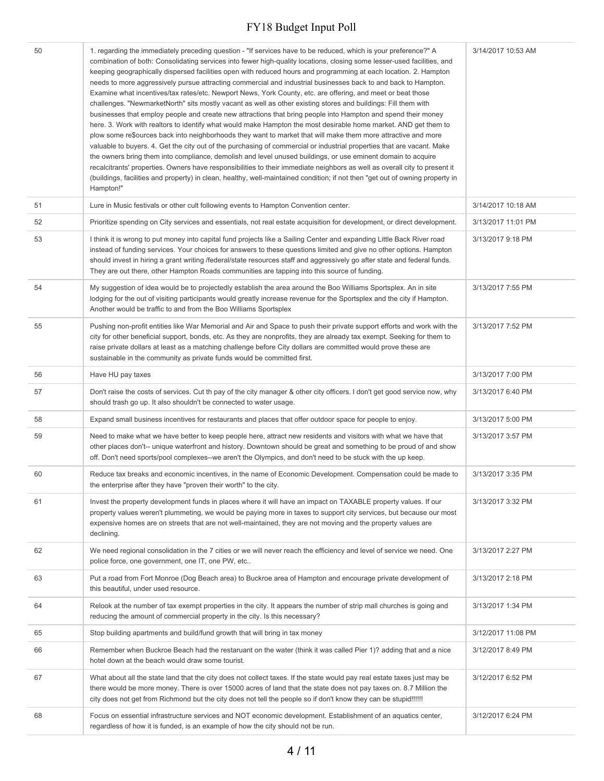| 50 | 1. regarding the immediately preceding question - "If services have to be reduced, which is your preference?" A<br>combination of both: Consolidating services into fewer high-quality locations, closing some lesser-used facilities, and<br>keeping geographically dispersed facilities open with reduced hours and programming at each location. 2. Hampton<br>needs to more aggressively pursue attracting commercial and industrial businesses back to and back to Hampton.<br>Examine what incentives/tax rates/etc. Newport News, York County, etc. are offering, and meet or beat those<br>challenges. "NewmarketNorth" sits mostly vacant as well as other existing stores and buildings: Fill them with<br>businesses that employ people and create new attractions that bring people into Hampton and spend their money<br>here. 3. Work with realtors to identify what would make Hampton the most desirable home market. AND get them to<br>plow some re\$ources back into neighborhoods they want to market that will make them more attractive and more<br>valuable to buyers. 4. Get the city out of the purchasing of commercial or industrial properties that are vacant. Make<br>the owners bring them into compliance, demolish and level unused buildings, or use eminent domain to acquire<br>recalcitrants' properties. Owners have responsibilities to their immediate neighbors as well as overall city to present it<br>(buildings, facilities and property) in clean, healthy, well-maintained condition; if not then "get out of owning property in<br>Hampton!" | 3/14/2017 10:53 AM |
|----|----------------------------------------------------------------------------------------------------------------------------------------------------------------------------------------------------------------------------------------------------------------------------------------------------------------------------------------------------------------------------------------------------------------------------------------------------------------------------------------------------------------------------------------------------------------------------------------------------------------------------------------------------------------------------------------------------------------------------------------------------------------------------------------------------------------------------------------------------------------------------------------------------------------------------------------------------------------------------------------------------------------------------------------------------------------------------------------------------------------------------------------------------------------------------------------------------------------------------------------------------------------------------------------------------------------------------------------------------------------------------------------------------------------------------------------------------------------------------------------------------------------------------------------------------------------------------------------------|--------------------|
| 51 | Lure in Music festivals or other cult following events to Hampton Convention center.                                                                                                                                                                                                                                                                                                                                                                                                                                                                                                                                                                                                                                                                                                                                                                                                                                                                                                                                                                                                                                                                                                                                                                                                                                                                                                                                                                                                                                                                                                         | 3/14/2017 10:18 AM |
| 52 | Prioritize spending on City services and essentials, not real estate acquisition for development, or direct development.                                                                                                                                                                                                                                                                                                                                                                                                                                                                                                                                                                                                                                                                                                                                                                                                                                                                                                                                                                                                                                                                                                                                                                                                                                                                                                                                                                                                                                                                     | 3/13/2017 11:01 PM |
| 53 | I think it is wrong to put money into capital fund projects like a Sailing Center and expanding Little Back River road<br>instead of funding services. Your choices for answers to these questions limited and give no other options. Hampton<br>should invest in hiring a grant writing /federal/state resources staff and aggressively go after state and federal funds.<br>They are out there, other Hampton Roads communities are tapping into this source of funding.                                                                                                                                                                                                                                                                                                                                                                                                                                                                                                                                                                                                                                                                                                                                                                                                                                                                                                                                                                                                                                                                                                                   | 3/13/2017 9:18 PM  |
| 54 | My suggestion of idea would be to projectedly establish the area around the Boo Williams Sportsplex. An in site<br>lodging for the out of visiting participants would greatly increase revenue for the Sportsplex and the city if Hampton.<br>Another would be traffic to and from the Boo Williams Sportsplex                                                                                                                                                                                                                                                                                                                                                                                                                                                                                                                                                                                                                                                                                                                                                                                                                                                                                                                                                                                                                                                                                                                                                                                                                                                                               | 3/13/2017 7:55 PM  |
| 55 | Pushing non-profit entities like War Memorial and Air and Space to push their private support efforts and work with the<br>city for other beneficial support, bonds, etc. As they are nonprofits, they are already tax exempt. Seeking for them to<br>raise private dollars at least as a matching challenge before City dollars are committed would prove these are<br>sustainable in the community as private funds would be committed first.                                                                                                                                                                                                                                                                                                                                                                                                                                                                                                                                                                                                                                                                                                                                                                                                                                                                                                                                                                                                                                                                                                                                              | 3/13/2017 7:52 PM  |
| 56 | Have HU pay taxes                                                                                                                                                                                                                                                                                                                                                                                                                                                                                                                                                                                                                                                                                                                                                                                                                                                                                                                                                                                                                                                                                                                                                                                                                                                                                                                                                                                                                                                                                                                                                                            | 3/13/2017 7:00 PM  |
| 57 | Don't raise the costs of services. Cut th pay of the city manager & other city officers. I don't get good service now, why<br>should trash go up. It also shouldn't be connected to water usage.                                                                                                                                                                                                                                                                                                                                                                                                                                                                                                                                                                                                                                                                                                                                                                                                                                                                                                                                                                                                                                                                                                                                                                                                                                                                                                                                                                                             | 3/13/2017 6:40 PM  |
| 58 | Expand small business incentives for restaurants and places that offer outdoor space for people to enjoy.                                                                                                                                                                                                                                                                                                                                                                                                                                                                                                                                                                                                                                                                                                                                                                                                                                                                                                                                                                                                                                                                                                                                                                                                                                                                                                                                                                                                                                                                                    | 3/13/2017 5:00 PM  |
| 59 | Need to make what we have better to keep people here, attract new residents and visitors with what we have that<br>other places don't-- unique waterfront and history. Downtown should be great and something to be proud of and show<br>off. Don't need sports/pool complexes--we aren't the Olympics, and don't need to be stuck with the up keep.                                                                                                                                                                                                                                                                                                                                                                                                                                                                                                                                                                                                                                                                                                                                                                                                                                                                                                                                                                                                                                                                                                                                                                                                                                         | 3/13/2017 3:57 PM  |
| 60 | Reduce tax breaks and economic incentives, in the name of Economic Development. Compensation could be made to<br>the enterprise after they have "proven their worth" to the city.                                                                                                                                                                                                                                                                                                                                                                                                                                                                                                                                                                                                                                                                                                                                                                                                                                                                                                                                                                                                                                                                                                                                                                                                                                                                                                                                                                                                            | 3/13/2017 3:35 PM  |
| 61 | Invest the property development funds in places where it will have an impact on TAXABLE property values. If our<br>property values weren't plummeting, we would be paying more in taxes to support city services, but because our most<br>expensive homes are on streets that are not well-maintained, they are not moving and the property values are<br>declining.                                                                                                                                                                                                                                                                                                                                                                                                                                                                                                                                                                                                                                                                                                                                                                                                                                                                                                                                                                                                                                                                                                                                                                                                                         | 3/13/2017 3:32 PM  |
| 62 | We need regional consolidation in the 7 cities or we will never reach the efficiency and level of service we need. One<br>police force, one government, one IT, one PW, etc                                                                                                                                                                                                                                                                                                                                                                                                                                                                                                                                                                                                                                                                                                                                                                                                                                                                                                                                                                                                                                                                                                                                                                                                                                                                                                                                                                                                                  | 3/13/2017 2:27 PM  |
| 63 | Put a road from Fort Monroe (Dog Beach area) to Buckroe area of Hampton and encourage private development of<br>this beautiful, under used resource.                                                                                                                                                                                                                                                                                                                                                                                                                                                                                                                                                                                                                                                                                                                                                                                                                                                                                                                                                                                                                                                                                                                                                                                                                                                                                                                                                                                                                                         | 3/13/2017 2:18 PM  |
| 64 | Relook at the number of tax exempt properties in the city. It appears the number of strip mall churches is going and<br>reducing the amount of commercial property in the city. Is this necessary?                                                                                                                                                                                                                                                                                                                                                                                                                                                                                                                                                                                                                                                                                                                                                                                                                                                                                                                                                                                                                                                                                                                                                                                                                                                                                                                                                                                           | 3/13/2017 1:34 PM  |
| 65 | Stop building apartments and build/fund growth that will bring in tax money                                                                                                                                                                                                                                                                                                                                                                                                                                                                                                                                                                                                                                                                                                                                                                                                                                                                                                                                                                                                                                                                                                                                                                                                                                                                                                                                                                                                                                                                                                                  | 3/12/2017 11:08 PM |
| 66 | Remember when Buckroe Beach had the restaruant on the water (think it was called Pier 1)? adding that and a nice<br>hotel down at the beach would draw some tourist.                                                                                                                                                                                                                                                                                                                                                                                                                                                                                                                                                                                                                                                                                                                                                                                                                                                                                                                                                                                                                                                                                                                                                                                                                                                                                                                                                                                                                         | 3/12/2017 8:49 PM  |
| 67 | What about all the state land that the city does not collect taxes. If the state would pay real estate taxes just may be<br>there would be more money. There is over 15000 acres of land that the state does not pay taxes on. 8.7 Million the<br>city does not get from Richmond but the city does not tell the people so if don't know they can be stupid!!!!!!                                                                                                                                                                                                                                                                                                                                                                                                                                                                                                                                                                                                                                                                                                                                                                                                                                                                                                                                                                                                                                                                                                                                                                                                                            | 3/12/2017 6:52 PM  |
| 68 | Focus on essential infrastructure services and NOT economic development. Establishment of an aquatics center,<br>regardless of how it is funded, is an example of how the city should not be run.                                                                                                                                                                                                                                                                                                                                                                                                                                                                                                                                                                                                                                                                                                                                                                                                                                                                                                                                                                                                                                                                                                                                                                                                                                                                                                                                                                                            | 3/12/2017 6:24 PM  |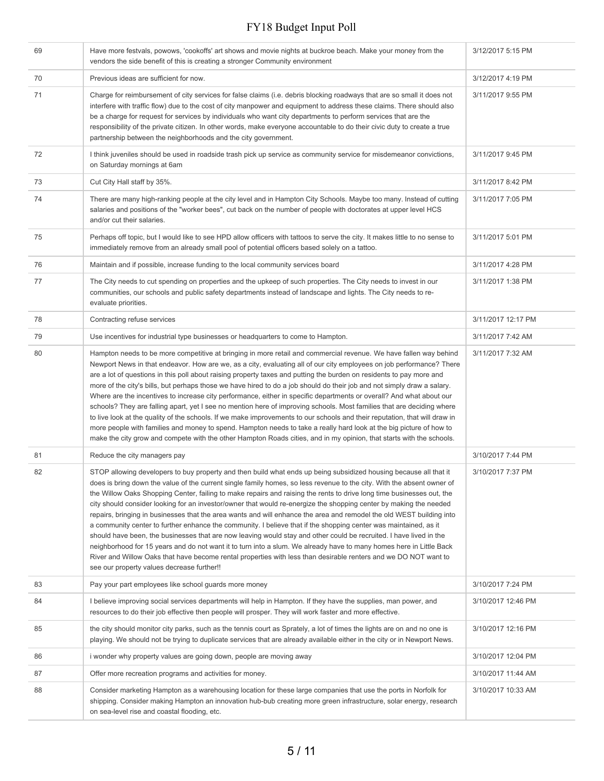| 69 | Have more festvals, powows, 'cookoffs' art shows and movie nights at buckroe beach. Make your money from the<br>vendors the side benefit of this is creating a stronger Community environment                                                                                                                                                                                                                                                                                                                                                                                                                                                                                                                                                                                                                                                                                                                                                                                                                                                                                                                                                        | 3/12/2017 5:15 PM  |
|----|------------------------------------------------------------------------------------------------------------------------------------------------------------------------------------------------------------------------------------------------------------------------------------------------------------------------------------------------------------------------------------------------------------------------------------------------------------------------------------------------------------------------------------------------------------------------------------------------------------------------------------------------------------------------------------------------------------------------------------------------------------------------------------------------------------------------------------------------------------------------------------------------------------------------------------------------------------------------------------------------------------------------------------------------------------------------------------------------------------------------------------------------------|--------------------|
| 70 | Previous ideas are sufficient for now.                                                                                                                                                                                                                                                                                                                                                                                                                                                                                                                                                                                                                                                                                                                                                                                                                                                                                                                                                                                                                                                                                                               | 3/12/2017 4:19 PM  |
| 71 | Charge for reimbursement of city services for false claims (i.e. debris blocking roadways that are so small it does not<br>interfere with traffic flow) due to the cost of city manpower and equipment to address these claims. There should also<br>be a charge for request for services by individuals who want city departments to perform services that are the<br>responsibility of the private citizen. In other words, make everyone accountable to do their civic duty to create a true<br>partnership between the neighborhoods and the city government.                                                                                                                                                                                                                                                                                                                                                                                                                                                                                                                                                                                    | 3/11/2017 9:55 PM  |
| 72 | I think juveniles should be used in roadside trash pick up service as community service for misdemeanor convictions,<br>on Saturday mornings at 6am                                                                                                                                                                                                                                                                                                                                                                                                                                                                                                                                                                                                                                                                                                                                                                                                                                                                                                                                                                                                  | 3/11/2017 9:45 PM  |
| 73 | Cut City Hall staff by 35%.                                                                                                                                                                                                                                                                                                                                                                                                                                                                                                                                                                                                                                                                                                                                                                                                                                                                                                                                                                                                                                                                                                                          | 3/11/2017 8:42 PM  |
| 74 | There are many high-ranking people at the city level and in Hampton City Schools. Maybe too many. Instead of cutting<br>salaries and positions of the "worker bees", cut back on the number of people with doctorates at upper level HCS<br>and/or cut their salaries.                                                                                                                                                                                                                                                                                                                                                                                                                                                                                                                                                                                                                                                                                                                                                                                                                                                                               | 3/11/2017 7:05 PM  |
| 75 | Perhaps off topic, but I would like to see HPD allow officers with tattoos to serve the city. It makes little to no sense to<br>immediately remove from an already small pool of potential officers based solely on a tattoo.                                                                                                                                                                                                                                                                                                                                                                                                                                                                                                                                                                                                                                                                                                                                                                                                                                                                                                                        | 3/11/2017 5:01 PM  |
| 76 | Maintain and if possible, increase funding to the local community services board                                                                                                                                                                                                                                                                                                                                                                                                                                                                                                                                                                                                                                                                                                                                                                                                                                                                                                                                                                                                                                                                     | 3/11/2017 4:28 PM  |
| 77 | The City needs to cut spending on properties and the upkeep of such properties. The City needs to invest in our<br>communities, our schools and public safety departments instead of landscape and lights. The City needs to re-<br>evaluate priorities.                                                                                                                                                                                                                                                                                                                                                                                                                                                                                                                                                                                                                                                                                                                                                                                                                                                                                             | 3/11/2017 1:38 PM  |
| 78 | Contracting refuse services                                                                                                                                                                                                                                                                                                                                                                                                                                                                                                                                                                                                                                                                                                                                                                                                                                                                                                                                                                                                                                                                                                                          | 3/11/2017 12:17 PM |
| 79 | Use incentives for industrial type businesses or headquarters to come to Hampton.                                                                                                                                                                                                                                                                                                                                                                                                                                                                                                                                                                                                                                                                                                                                                                                                                                                                                                                                                                                                                                                                    | 3/11/2017 7:42 AM  |
| 80 | Hampton needs to be more competitive at bringing in more retail and commercial revenue. We have fallen way behind<br>Newport News in that endeavor. How are we, as a city, evaluating all of our city employees on job performance? There<br>are a lot of questions in this poll about raising property taxes and putting the burden on residents to pay more and<br>more of the city's bills, but perhaps those we have hired to do a job should do their job and not simply draw a salary.<br>Where are the incentives to increase city performance, either in specific departments or overall? And what about our<br>schools? They are falling apart, yet I see no mention here of improving schools. Most families that are deciding where<br>to live look at the quality of the schools. If we make improvements to our schools and their reputation, that will draw in<br>more people with families and money to spend. Hampton needs to take a really hard look at the big picture of how to<br>make the city grow and compete with the other Hampton Roads cities, and in my opinion, that starts with the schools.                          | 3/11/2017 7:32 AM  |
| 81 | Reduce the city managers pay                                                                                                                                                                                                                                                                                                                                                                                                                                                                                                                                                                                                                                                                                                                                                                                                                                                                                                                                                                                                                                                                                                                         | 3/10/2017 7:44 PM  |
| 82 | STOP allowing developers to buy property and then build what ends up being subsidized housing because all that it<br>does is bring down the value of the current single family homes, so less revenue to the city. With the absent owner of<br>the Willow Oaks Shopping Center, failing to make repairs and raising the rents to drive long time businesses out, the<br>city should consider looking for an investor/owner that would re-energize the shopping center by making the needed<br>repairs, bringing in businesses that the area wants and will enhance the area and remodel the old WEST building into<br>a community center to further enhance the community. I believe that if the shopping center was maintained, as it<br>should have been, the businesses that are now leaving would stay and other could be recruited. I have lived in the<br>neighborhood for 15 years and do not want it to turn into a slum. We already have to many homes here in Little Back<br>River and Willow Oaks that have become rental properties with less than desirable renters and we DO NOT want to<br>see our property values decrease further!! | 3/10/2017 7:37 PM  |
| 83 | Pay your part employees like school guards more money                                                                                                                                                                                                                                                                                                                                                                                                                                                                                                                                                                                                                                                                                                                                                                                                                                                                                                                                                                                                                                                                                                | 3/10/2017 7:24 PM  |
| 84 | I believe improving social services departments will help in Hampton. If they have the supplies, man power, and<br>resources to do their job effective then people will prosper. They will work faster and more effective.                                                                                                                                                                                                                                                                                                                                                                                                                                                                                                                                                                                                                                                                                                                                                                                                                                                                                                                           | 3/10/2017 12:46 PM |
| 85 | the city should monitor city parks, such as the tennis court as Sprately, a lot of times the lights are on and no one is<br>playing. We should not be trying to duplicate services that are already available either in the city or in Newport News.                                                                                                                                                                                                                                                                                                                                                                                                                                                                                                                                                                                                                                                                                                                                                                                                                                                                                                 | 3/10/2017 12:16 PM |
| 86 | i wonder why property values are going down, people are moving away                                                                                                                                                                                                                                                                                                                                                                                                                                                                                                                                                                                                                                                                                                                                                                                                                                                                                                                                                                                                                                                                                  | 3/10/2017 12:04 PM |
| 87 | Offer more recreation programs and activities for money.                                                                                                                                                                                                                                                                                                                                                                                                                                                                                                                                                                                                                                                                                                                                                                                                                                                                                                                                                                                                                                                                                             | 3/10/2017 11:44 AM |
| 88 | Consider marketing Hampton as a warehousing location for these large companies that use the ports in Norfolk for<br>shipping. Consider making Hampton an innovation hub-bub creating more green infrastructure, solar energy, research<br>on sea-level rise and coastal flooding, etc.                                                                                                                                                                                                                                                                                                                                                                                                                                                                                                                                                                                                                                                                                                                                                                                                                                                               | 3/10/2017 10:33 AM |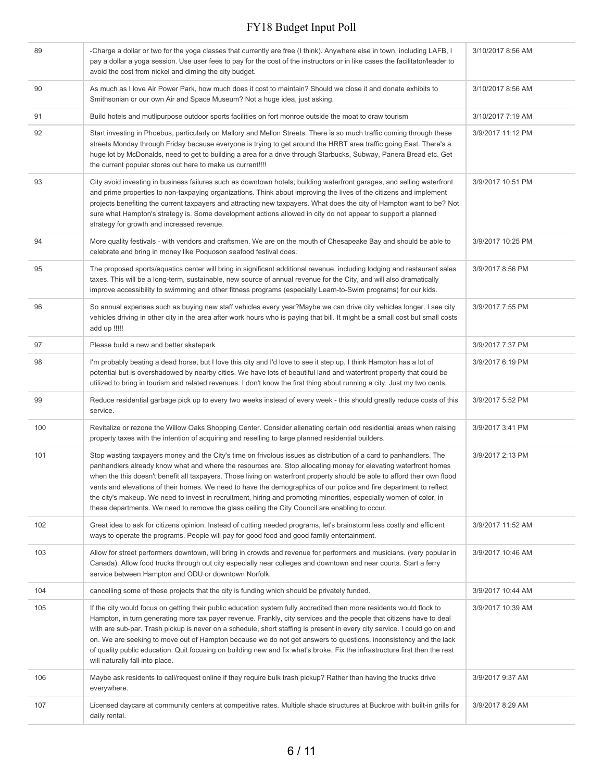| 89  | -Charge a dollar or two for the yoga classes that currently are free (I think). Anywhere else in town, including LAFB, I<br>pay a dollar a yoga session. Use user fees to pay for the cost of the instructors or in like cases the facilitator/leader to<br>avoid the cost from nickel and diming the city budget.                                                                                                                                                                                                                                                                                                                                                                                                | 3/10/2017 8:56 AM |
|-----|-------------------------------------------------------------------------------------------------------------------------------------------------------------------------------------------------------------------------------------------------------------------------------------------------------------------------------------------------------------------------------------------------------------------------------------------------------------------------------------------------------------------------------------------------------------------------------------------------------------------------------------------------------------------------------------------------------------------|-------------------|
| 90  | As much as I love Air Power Park, how much does it cost to maintain? Should we close it and donate exhibits to<br>Smithsonian or our own Air and Space Museum? Not a huge idea, just asking.                                                                                                                                                                                                                                                                                                                                                                                                                                                                                                                      | 3/10/2017 8:56 AM |
| 91  | Build hotels and mutlipurpose outdoor sports facilities on fort monroe outside the moat to draw tourism                                                                                                                                                                                                                                                                                                                                                                                                                                                                                                                                                                                                           | 3/10/2017 7:19 AM |
| 92  | Start investing in Phoebus, particularly on Mallory and Mellon Streets. There is so much traffic coming through these<br>streets Monday through Friday because everyone is trying to get around the HRBT area traffic going East. There's a<br>huge lot by McDonalds, need to get to building a area for a drive through Starbucks, Subway, Panera Bread etc. Get<br>the current popular stores out here to make us current!!!!                                                                                                                                                                                                                                                                                   | 3/9/2017 11:12 PM |
| 93  | City avoid investing in business failures such as downtown hotels; building waterfront garages, and selling waterfront<br>and prime properties to non-taxpaying organizations. Think about improving the lives of the citizens and implement<br>projects benefiting the current taxpayers and attracting new taxpayers. What does the city of Hampton want to be? Not<br>sure what Hampton's strategy is. Some development actions allowed in city do not appear to support a planned<br>strategy for growth and increased revenue.                                                                                                                                                                               | 3/9/2017 10:51 PM |
| 94  | More quality festivals - with vendors and craftsmen. We are on the mouth of Chesapeake Bay and should be able to<br>celebrate and bring in money like Poquoson seafood festival does.                                                                                                                                                                                                                                                                                                                                                                                                                                                                                                                             | 3/9/2017 10:25 PM |
| 95  | The proposed sports/aquatics center will bring in significant additional revenue, including lodging and restaurant sales<br>taxes. This will be a long-term, sustainable, new source of annual revenue for the City, and will also dramatically<br>improve accessibility to swimming and other fitness programs (especially Learn-to-Swim programs) for our kids.                                                                                                                                                                                                                                                                                                                                                 | 3/9/2017 8:56 PM  |
| 96  | So annual expenses such as buying new staff vehicles every year?Maybe we can drive city vehicles longer. I see city<br>vehicles driving in other city in the area after work hours who is paying that bill. It might be a small cost but small costs<br>add up !!!!!                                                                                                                                                                                                                                                                                                                                                                                                                                              | 3/9/2017 7:55 PM  |
| 97  | Please build a new and better skatepark                                                                                                                                                                                                                                                                                                                                                                                                                                                                                                                                                                                                                                                                           | 3/9/2017 7:37 PM  |
| 98  | I'm probably beating a dead horse, but I love this city and I'd love to see it step up. I think Hampton has a lot of<br>potential but is overshadowed by nearby cities. We have lots of beautiful land and waterfront property that could be<br>utilized to bring in tourism and related revenues. I don't know the first thing about running a city. Just my two cents.                                                                                                                                                                                                                                                                                                                                          | 3/9/2017 6:19 PM  |
| 99  | Reduce residential garbage pick up to every two weeks instead of every week - this should greatly reduce costs of this<br>service.                                                                                                                                                                                                                                                                                                                                                                                                                                                                                                                                                                                | 3/9/2017 5:52 PM  |
| 100 | Revitalize or rezone the Willow Oaks Shopping Center. Consider alienating certain odd residential areas when raising<br>property taxes with the intention of acquiring and reselling to large planned residential builders.                                                                                                                                                                                                                                                                                                                                                                                                                                                                                       | 3/9/2017 3:41 PM  |
| 101 | Stop wasting taxpayers money and the City's time on frivolous issues as distribution of a card to panhandlers. The<br>panhandlers already know what and where the resources are. Stop allocating money for elevating waterfront homes<br>when the this doesn't benefit all taxpayers. Those living on waterfront property should be able to afford their own flood<br>vents and elevations of their homes. We need to have the demographics of our police and fire department to reflect<br>the city's makeup. We need to invest in recruitment, hiring and promoting minorities, especially women of color, in<br>these departments. We need to remove the glass ceiling the City Council are enabling to occur. | 3/9/2017 2:13 PM  |
| 102 | Great idea to ask for citizens opinion. Instead of cutting needed programs, let's brainstorm less costly and efficient<br>ways to operate the programs. People will pay for good food and good family entertainment.                                                                                                                                                                                                                                                                                                                                                                                                                                                                                              | 3/9/2017 11:52 AM |
| 103 | Allow for street performers downtown, will bring in crowds and revenue for performers and musicians. (very popular in<br>Canada). Allow food trucks through out city especially near colleges and downtown and near courts. Start a ferry<br>service between Hampton and ODU or downtown Norfolk.                                                                                                                                                                                                                                                                                                                                                                                                                 | 3/9/2017 10:46 AM |
| 104 | cancelling some of these projects that the city is funding which should be privately funded.                                                                                                                                                                                                                                                                                                                                                                                                                                                                                                                                                                                                                      | 3/9/2017 10:44 AM |
| 105 | If the city would focus on getting their public education system fully accredited then more residents would flock to<br>Hampton, in turn generating more tax payer revenue. Frankly, city services and the people that citizens have to deal<br>with are sub-par. Trash pickup is never on a schedule, short staffing is present in every city service. I could go on and<br>on. We are seeking to move out of Hampton because we do not get answers to questions, inconsistency and the lack<br>of quality public education. Quit focusing on building new and fix what's broke. Fix the infrastructure first then the rest<br>will naturally fall into place.                                                   | 3/9/2017 10:39 AM |
| 106 | Maybe ask residents to call/request online if they require bulk trash pickup? Rather than having the trucks drive<br>everywhere.                                                                                                                                                                                                                                                                                                                                                                                                                                                                                                                                                                                  | 3/9/2017 9:37 AM  |
| 107 | Licensed daycare at community centers at competitive rates. Multiple shade structures at Buckroe with built-in grills for<br>daily rental.                                                                                                                                                                                                                                                                                                                                                                                                                                                                                                                                                                        | 3/9/2017 8:29 AM  |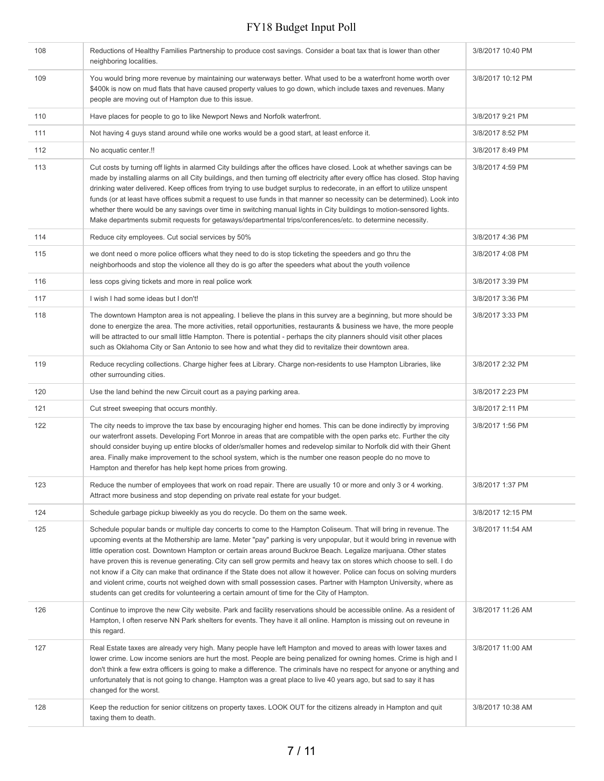| 108 | Reductions of Healthy Families Partnership to produce cost savings. Consider a boat tax that is lower than other<br>neighboring localities.                                                                                                                                                                                                                                                                                                                                                                                                                                                                                                                                                                                                                                                                                         | 3/8/2017 10:40 PM |
|-----|-------------------------------------------------------------------------------------------------------------------------------------------------------------------------------------------------------------------------------------------------------------------------------------------------------------------------------------------------------------------------------------------------------------------------------------------------------------------------------------------------------------------------------------------------------------------------------------------------------------------------------------------------------------------------------------------------------------------------------------------------------------------------------------------------------------------------------------|-------------------|
| 109 | You would bring more revenue by maintaining our waterways better. What used to be a waterfront home worth over<br>\$400k is now on mud flats that have caused property values to go down, which include taxes and revenues. Many<br>people are moving out of Hampton due to this issue.                                                                                                                                                                                                                                                                                                                                                                                                                                                                                                                                             | 3/8/2017 10:12 PM |
| 110 | Have places for people to go to like Newport News and Norfolk waterfront.                                                                                                                                                                                                                                                                                                                                                                                                                                                                                                                                                                                                                                                                                                                                                           | 3/8/2017 9:21 PM  |
| 111 | Not having 4 guys stand around while one works would be a good start, at least enforce it.                                                                                                                                                                                                                                                                                                                                                                                                                                                                                                                                                                                                                                                                                                                                          | 3/8/2017 8:52 PM  |
| 112 | No acquatic center.!!                                                                                                                                                                                                                                                                                                                                                                                                                                                                                                                                                                                                                                                                                                                                                                                                               | 3/8/2017 8:49 PM  |
| 113 | Cut costs by turning off lights in alarmed City buildings after the offices have closed. Look at whether savings can be<br>made by installing alarms on all City buildings, and then turning off electricity after every office has closed. Stop having<br>drinking water delivered. Keep offices from trying to use budget surplus to redecorate, in an effort to utilize unspent<br>funds (or at least have offices submit a request to use funds in that manner so necessity can be determined). Look into<br>whether there would be any savings over time in switching manual lights in City buildings to motion-sensored lights.<br>Make departments submit requests for getaways/departmental trips/conferences/etc. to determine necessity.                                                                                  | 3/8/2017 4:59 PM  |
| 114 | Reduce city employees. Cut social services by 50%                                                                                                                                                                                                                                                                                                                                                                                                                                                                                                                                                                                                                                                                                                                                                                                   | 3/8/2017 4:36 PM  |
| 115 | we dont need o more police officers what they need to do is stop ticketing the speeders and go thru the<br>neighborhoods and stop the violence all they do is go after the speeders what about the youth voilence                                                                                                                                                                                                                                                                                                                                                                                                                                                                                                                                                                                                                   | 3/8/2017 4:08 PM  |
| 116 | less cops giving tickets and more in real police work                                                                                                                                                                                                                                                                                                                                                                                                                                                                                                                                                                                                                                                                                                                                                                               | 3/8/2017 3:39 PM  |
| 117 | I wish I had some ideas but I don't!                                                                                                                                                                                                                                                                                                                                                                                                                                                                                                                                                                                                                                                                                                                                                                                                | 3/8/2017 3:36 PM  |
| 118 | The downtown Hampton area is not appealing. I believe the plans in this survey are a beginning, but more should be<br>done to energize the area. The more activities, retail opportunities, restaurants & business we have, the more people<br>will be attracted to our small little Hampton. There is potential - perhaps the city planners should visit other places<br>such as Oklahoma City or San Antonio to see how and what they did to revitalize their downtown area.                                                                                                                                                                                                                                                                                                                                                      | 3/8/2017 3:33 PM  |
| 119 | Reduce recycling collections. Charge higher fees at Library. Charge non-residents to use Hampton Libraries, like<br>other surrounding cities.                                                                                                                                                                                                                                                                                                                                                                                                                                                                                                                                                                                                                                                                                       | 3/8/2017 2:32 PM  |
| 120 | Use the land behind the new Circuit court as a paying parking area.                                                                                                                                                                                                                                                                                                                                                                                                                                                                                                                                                                                                                                                                                                                                                                 | 3/8/2017 2:23 PM  |
| 121 | Cut street sweeping that occurs monthly.                                                                                                                                                                                                                                                                                                                                                                                                                                                                                                                                                                                                                                                                                                                                                                                            | 3/8/2017 2:11 PM  |
| 122 | The city needs to improve the tax base by encouraging higher end homes. This can be done indirectly by improving<br>our waterfront assets. Developing Fort Monroe in areas that are compatible with the open parks etc. Further the city<br>should consider buying up entire blocks of older/smaller homes and redevelop similar to Norfolk did with their Ghent<br>area. Finally make improvement to the school system, which is the number one reason people do no move to<br>Hampton and therefor has help kept home prices from growing.                                                                                                                                                                                                                                                                                        | 3/8/2017 1:56 PM  |
| 123 | Reduce the number of employees that work on road repair. There are usually 10 or more and only 3 or 4 working.<br>Attract more business and stop depending on private real estate for your budget.                                                                                                                                                                                                                                                                                                                                                                                                                                                                                                                                                                                                                                  | 3/8/2017 1:37 PM  |
| 124 | Schedule garbage pickup biweekly as you do recycle. Do them on the same week.                                                                                                                                                                                                                                                                                                                                                                                                                                                                                                                                                                                                                                                                                                                                                       | 3/8/2017 12:15 PM |
| 125 | Schedule popular bands or multiple day concerts to come to the Hampton Coliseum. That will bring in revenue. The<br>upcoming events at the Mothership are lame. Meter "pay" parking is very unpopular, but it would bring in revenue with<br>little operation cost. Downtown Hampton or certain areas around Buckroe Beach. Legalize marijuana. Other states<br>have proven this is revenue generating. City can sell grow permits and heavy tax on stores which choose to sell. I do<br>not know if a City can make that ordinance if the State does not allow it however. Police can focus on solving murders<br>and violent crime, courts not weighed down with small possession cases. Partner with Hampton University, where as<br>students can get credits for volunteering a certain amount of time for the City of Hampton. | 3/8/2017 11:54 AM |
| 126 | Continue to improve the new City website. Park and facility reservations should be accessible online. As a resident of<br>Hampton, I often reserve NN Park shelters for events. They have it all online. Hampton is missing out on reveune in<br>this regard.                                                                                                                                                                                                                                                                                                                                                                                                                                                                                                                                                                       | 3/8/2017 11:26 AM |
| 127 | Real Estate taxes are already very high. Many people have left Hampton and moved to areas with lower taxes and<br>lower crime. Low income seniors are hurt the most. People are being penalized for owning homes. Crime is high and I<br>don't think a few extra officers is going to make a difference. The criminals have no respect for anyone or anything and<br>unfortunately that is not going to change. Hampton was a great place to live 40 years ago, but sad to say it has<br>changed for the worst.                                                                                                                                                                                                                                                                                                                     | 3/8/2017 11:00 AM |
| 128 | Keep the reduction for senior cititzens on property taxes. LOOK OUT for the citizens already in Hampton and quit<br>taxing them to death.                                                                                                                                                                                                                                                                                                                                                                                                                                                                                                                                                                                                                                                                                           | 3/8/2017 10:38 AM |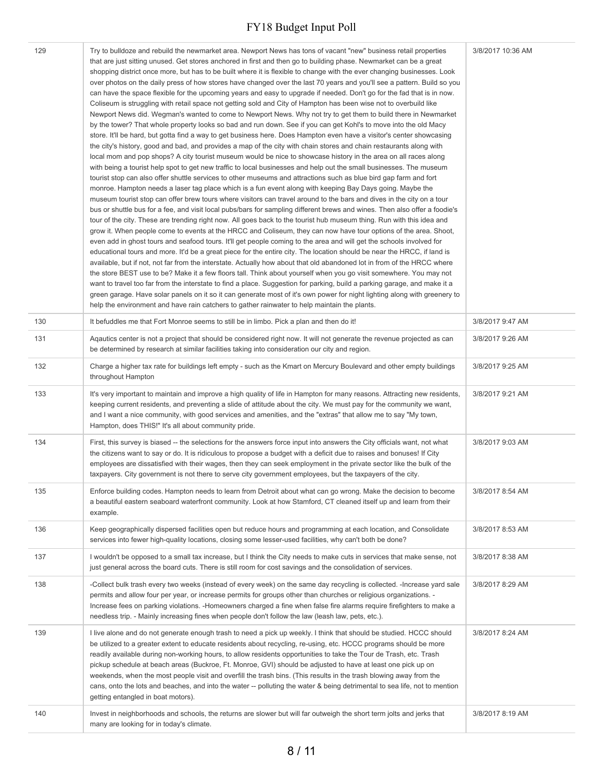| 129 | Try to bulldoze and rebuild the newmarket area. Newport News has tons of vacant "new" business retail properties<br>that are just sitting unused. Get stores anchored in first and then go to building phase. Newmarket can be a great<br>shopping district once more, but has to be built where it is flexible to change with the ever changing businesses. Look<br>over photos on the daily press of how stores have changed over the last 70 years and you'll see a pattern. Build so you<br>can have the space flexible for the upcoming years and easy to upgrade if needed. Don't go for the fad that is in now.<br>Coliseum is struggling with retail space not getting sold and City of Hampton has been wise not to overbuild like<br>Newport News did. Wegman's wanted to come to Newport News. Why not try to get them to build there in Newmarket<br>by the tower? That whole property looks so bad and run down. See if you can get Kohl's to move into the old Macy<br>store. It'll be hard, but gotta find a way to get business here. Does Hampton even have a visitor's center showcasing<br>the city's history, good and bad, and provides a map of the city with chain stores and chain restaurants along with<br>local mom and pop shops? A city tourist museum would be nice to showcase history in the area on all races along<br>with being a tourist help spot to get new traffic to local businesses and help out the small businesses. The museum<br>tourist stop can also offer shuttle services to other museums and attractions such as blue bird gap farm and fort<br>monroe. Hampton needs a laser tag place which is a fun event along with keeping Bay Days going. Maybe the<br>museum tourist stop can offer brew tours where visitors can travel around to the bars and dives in the city on a tour<br>bus or shuttle bus for a fee, and visit local pubs/bars for sampling different brews and wines. Then also offer a foodie's<br>tour of the city. These are trending right now. All goes back to the tourist hub museum thing. Run with this idea and<br>grow it. When people come to events at the HRCC and Coliseum, they can now have tour options of the area. Shoot,<br>even add in ghost tours and seafood tours. It'll get people coming to the area and will get the schools involved for<br>educational tours and more. It'd be a great piece for the entire city. The location should be near the HRCC, if land is<br>available, but if not, not far from the interstate. Actually how about that old abandoned lot in from of the HRCC where<br>the store BEST use to be? Make it a few floors tall. Think about yourself when you go visit somewhere. You may not<br>want to travel too far from the interstate to find a place. Suggestion for parking, build a parking garage, and make it a<br>green garage. Have solar panels on it so it can generate most of it's own power for night lighting along with greenery to<br>help the environment and have rain catchers to gather rainwater to help maintain the plants. | 3/8/2017 10:36 AM |
|-----|---------------------------------------------------------------------------------------------------------------------------------------------------------------------------------------------------------------------------------------------------------------------------------------------------------------------------------------------------------------------------------------------------------------------------------------------------------------------------------------------------------------------------------------------------------------------------------------------------------------------------------------------------------------------------------------------------------------------------------------------------------------------------------------------------------------------------------------------------------------------------------------------------------------------------------------------------------------------------------------------------------------------------------------------------------------------------------------------------------------------------------------------------------------------------------------------------------------------------------------------------------------------------------------------------------------------------------------------------------------------------------------------------------------------------------------------------------------------------------------------------------------------------------------------------------------------------------------------------------------------------------------------------------------------------------------------------------------------------------------------------------------------------------------------------------------------------------------------------------------------------------------------------------------------------------------------------------------------------------------------------------------------------------------------------------------------------------------------------------------------------------------------------------------------------------------------------------------------------------------------------------------------------------------------------------------------------------------------------------------------------------------------------------------------------------------------------------------------------------------------------------------------------------------------------------------------------------------------------------------------------------------------------------------------------------------------------------------------------------------------------------------------------------------------------------------------------------------------------------------------------------------------------------------------------------------------------------------------------------------------------------------------------------------------------------------------------------|-------------------|
| 130 | It befuddles me that Fort Monroe seems to still be in limbo. Pick a plan and then do it!                                                                                                                                                                                                                                                                                                                                                                                                                                                                                                                                                                                                                                                                                                                                                                                                                                                                                                                                                                                                                                                                                                                                                                                                                                                                                                                                                                                                                                                                                                                                                                                                                                                                                                                                                                                                                                                                                                                                                                                                                                                                                                                                                                                                                                                                                                                                                                                                                                                                                                                                                                                                                                                                                                                                                                                                                                                                                                                                                                                        | 3/8/2017 9:47 AM  |
| 131 | Aqautics center is not a project that should be considered right now. It will not generate the revenue projected as can<br>be determined by research at similar facilities taking into consideration our city and region.                                                                                                                                                                                                                                                                                                                                                                                                                                                                                                                                                                                                                                                                                                                                                                                                                                                                                                                                                                                                                                                                                                                                                                                                                                                                                                                                                                                                                                                                                                                                                                                                                                                                                                                                                                                                                                                                                                                                                                                                                                                                                                                                                                                                                                                                                                                                                                                                                                                                                                                                                                                                                                                                                                                                                                                                                                                       | 3/8/2017 9:26 AM  |
| 132 | Charge a higher tax rate for buildings left empty - such as the Kmart on Mercury Boulevard and other empty buildings<br>throughout Hampton                                                                                                                                                                                                                                                                                                                                                                                                                                                                                                                                                                                                                                                                                                                                                                                                                                                                                                                                                                                                                                                                                                                                                                                                                                                                                                                                                                                                                                                                                                                                                                                                                                                                                                                                                                                                                                                                                                                                                                                                                                                                                                                                                                                                                                                                                                                                                                                                                                                                                                                                                                                                                                                                                                                                                                                                                                                                                                                                      | 3/8/2017 9:25 AM  |
| 133 | It's very important to maintain and improve a high quality of life in Hampton for many reasons. Attracting new residents,<br>keeping current residents, and preventing a slide of attitude about the city. We must pay for the community we want,<br>and I want a nice community, with good services and amenities, and the "extras" that allow me to say "My town,<br>Hampton, does THIS!" It's all about community pride.                                                                                                                                                                                                                                                                                                                                                                                                                                                                                                                                                                                                                                                                                                                                                                                                                                                                                                                                                                                                                                                                                                                                                                                                                                                                                                                                                                                                                                                                                                                                                                                                                                                                                                                                                                                                                                                                                                                                                                                                                                                                                                                                                                                                                                                                                                                                                                                                                                                                                                                                                                                                                                                     | 3/8/2017 9:21 AM  |
| 134 | First, this survey is biased -- the selections for the answers force input into answers the City officials want, not what<br>the citizens want to say or do. It is ridiculous to propose a budget with a deficit due to raises and bonuses! If City<br>employees are dissatisfied with their wages, then they can seek employment in the private sector like the bulk of the<br>taxpayers. City government is not there to serve city government employees, but the taxpayers of the city.                                                                                                                                                                                                                                                                                                                                                                                                                                                                                                                                                                                                                                                                                                                                                                                                                                                                                                                                                                                                                                                                                                                                                                                                                                                                                                                                                                                                                                                                                                                                                                                                                                                                                                                                                                                                                                                                                                                                                                                                                                                                                                                                                                                                                                                                                                                                                                                                                                                                                                                                                                                      | 3/8/2017 9:03 AM  |
| 135 | Enforce building codes. Hampton needs to learn from Detroit about what can go wrong. Make the decision to become<br>a beautiful eastern seaboard waterfront community. Look at how Stamford, CT cleaned itself up and learn from their<br>example.                                                                                                                                                                                                                                                                                                                                                                                                                                                                                                                                                                                                                                                                                                                                                                                                                                                                                                                                                                                                                                                                                                                                                                                                                                                                                                                                                                                                                                                                                                                                                                                                                                                                                                                                                                                                                                                                                                                                                                                                                                                                                                                                                                                                                                                                                                                                                                                                                                                                                                                                                                                                                                                                                                                                                                                                                              | 3/8/2017 8:54 AM  |
| 136 | Keep geographically dispersed facilities open but reduce hours and programming at each location, and Consolidate<br>services into fewer high-quality locations, closing some lesser-used facilities, why can't both be done?                                                                                                                                                                                                                                                                                                                                                                                                                                                                                                                                                                                                                                                                                                                                                                                                                                                                                                                                                                                                                                                                                                                                                                                                                                                                                                                                                                                                                                                                                                                                                                                                                                                                                                                                                                                                                                                                                                                                                                                                                                                                                                                                                                                                                                                                                                                                                                                                                                                                                                                                                                                                                                                                                                                                                                                                                                                    | 3/8/2017 8:53 AM  |
| 137 | I wouldn't be opposed to a small tax increase, but I think the City needs to make cuts in services that make sense, not<br>just general across the board cuts. There is still room for cost savings and the consolidation of services.                                                                                                                                                                                                                                                                                                                                                                                                                                                                                                                                                                                                                                                                                                                                                                                                                                                                                                                                                                                                                                                                                                                                                                                                                                                                                                                                                                                                                                                                                                                                                                                                                                                                                                                                                                                                                                                                                                                                                                                                                                                                                                                                                                                                                                                                                                                                                                                                                                                                                                                                                                                                                                                                                                                                                                                                                                          | 3/8/2017 8:38 AM  |
| 138 | -Collect bulk trash every two weeks (instead of every week) on the same day recycling is collected. -Increase yard sale<br>permits and allow four per year, or increase permits for groups other than churches or religious organizations. -<br>Increase fees on parking violations. -Homeowners charged a fine when false fire alarms require firefighters to make a<br>needless trip. - Mainly increasing fines when people don't follow the law (leash law, pets, etc.).                                                                                                                                                                                                                                                                                                                                                                                                                                                                                                                                                                                                                                                                                                                                                                                                                                                                                                                                                                                                                                                                                                                                                                                                                                                                                                                                                                                                                                                                                                                                                                                                                                                                                                                                                                                                                                                                                                                                                                                                                                                                                                                                                                                                                                                                                                                                                                                                                                                                                                                                                                                                     | 3/8/2017 8:29 AM  |
| 139 | I live alone and do not generate enough trash to need a pick up weekly. I think that should be studied. HCCC should<br>be utilized to a greater extent to educate residents about recycling, re-using, etc. HCCC programs should be more<br>readily available during non-working hours, to allow residents opportunities to take the Tour de Trash, etc. Trash<br>pickup schedule at beach areas (Buckroe, Ft. Monroe, GVI) should be adjusted to have at least one pick up on<br>weekends, when the most people visit and overfill the trash bins. (This results in the trash blowing away from the<br>cans, onto the lots and beaches, and into the water -- polluting the water & being detrimental to sea life, not to mention<br>getting entangled in boat motors).                                                                                                                                                                                                                                                                                                                                                                                                                                                                                                                                                                                                                                                                                                                                                                                                                                                                                                                                                                                                                                                                                                                                                                                                                                                                                                                                                                                                                                                                                                                                                                                                                                                                                                                                                                                                                                                                                                                                                                                                                                                                                                                                                                                                                                                                                                        | 3/8/2017 8:24 AM  |
| 140 | Invest in neighborhoods and schools, the returns are slower but will far outweigh the short term jolts and jerks that<br>many are looking for in today's climate.                                                                                                                                                                                                                                                                                                                                                                                                                                                                                                                                                                                                                                                                                                                                                                                                                                                                                                                                                                                                                                                                                                                                                                                                                                                                                                                                                                                                                                                                                                                                                                                                                                                                                                                                                                                                                                                                                                                                                                                                                                                                                                                                                                                                                                                                                                                                                                                                                                                                                                                                                                                                                                                                                                                                                                                                                                                                                                               | 3/8/2017 8:19 AM  |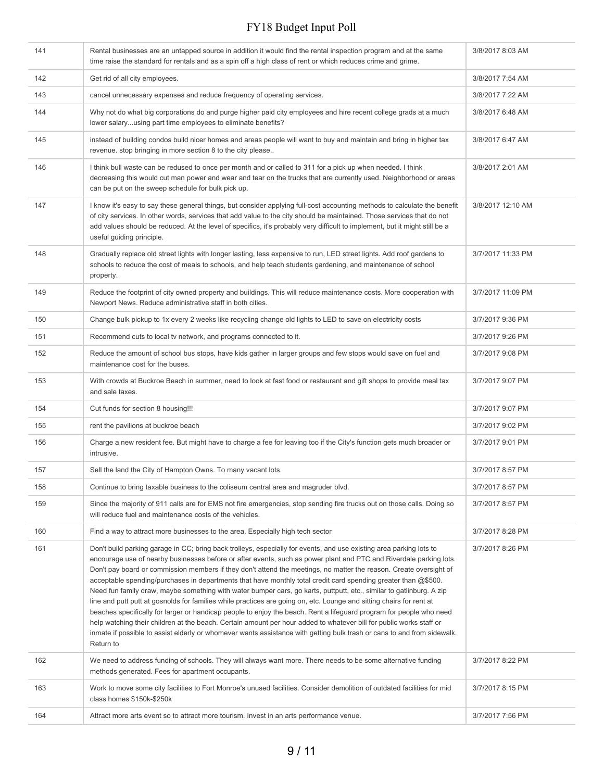| 141 | Rental businesses are an untapped source in addition it would find the rental inspection program and at the same<br>time raise the standard for rentals and as a spin off a high class of rent or which reduces crime and grime.                                                                                                                                                                                                                                                                                                                                                                                                                                                                                                                                                                                                                                                                                                                                                                                                                                                                                        | 3/8/2017 8:03 AM  |
|-----|-------------------------------------------------------------------------------------------------------------------------------------------------------------------------------------------------------------------------------------------------------------------------------------------------------------------------------------------------------------------------------------------------------------------------------------------------------------------------------------------------------------------------------------------------------------------------------------------------------------------------------------------------------------------------------------------------------------------------------------------------------------------------------------------------------------------------------------------------------------------------------------------------------------------------------------------------------------------------------------------------------------------------------------------------------------------------------------------------------------------------|-------------------|
| 142 | Get rid of all city employees.                                                                                                                                                                                                                                                                                                                                                                                                                                                                                                                                                                                                                                                                                                                                                                                                                                                                                                                                                                                                                                                                                          | 3/8/2017 7:54 AM  |
| 143 | cancel unnecessary expenses and reduce frequency of operating services.                                                                                                                                                                                                                                                                                                                                                                                                                                                                                                                                                                                                                                                                                                                                                                                                                                                                                                                                                                                                                                                 | 3/8/2017 7:22 AM  |
| 144 | Why not do what big corporations do and purge higher paid city employees and hire recent college grads at a much<br>lower salaryusing part time employees to eliminate benefits?                                                                                                                                                                                                                                                                                                                                                                                                                                                                                                                                                                                                                                                                                                                                                                                                                                                                                                                                        | 3/8/2017 6:48 AM  |
| 145 | instead of building condos build nicer homes and areas people will want to buy and maintain and bring in higher tax<br>revenue. stop bringing in more section 8 to the city please                                                                                                                                                                                                                                                                                                                                                                                                                                                                                                                                                                                                                                                                                                                                                                                                                                                                                                                                      | 3/8/2017 6:47 AM  |
| 146 | I think bull waste can be redused to once per month and or called to 311 for a pick up when needed. I think<br>decreasing this would cut man power and wear and tear on the trucks that are currently used. Neighborhood or areas<br>can be put on the sweep schedule for bulk pick up.                                                                                                                                                                                                                                                                                                                                                                                                                                                                                                                                                                                                                                                                                                                                                                                                                                 | 3/8/2017 2:01 AM  |
| 147 | I know it's easy to say these general things, but consider applying full-cost accounting methods to calculate the benefit<br>of city services. In other words, services that add value to the city should be maintained. Those services that do not<br>add values should be reduced. At the level of specifics, it's probably very difficult to implement, but it might still be a<br>useful guiding principle.                                                                                                                                                                                                                                                                                                                                                                                                                                                                                                                                                                                                                                                                                                         | 3/8/2017 12:10 AM |
| 148 | Gradually replace old street lights with longer lasting, less expensive to run, LED street lights. Add roof gardens to<br>schools to reduce the cost of meals to schools, and help teach students gardening, and maintenance of school<br>property.                                                                                                                                                                                                                                                                                                                                                                                                                                                                                                                                                                                                                                                                                                                                                                                                                                                                     | 3/7/2017 11:33 PM |
| 149 | Reduce the footprint of city owned property and buildings. This will reduce maintenance costs. More cooperation with<br>Newport News. Reduce administrative staff in both cities.                                                                                                                                                                                                                                                                                                                                                                                                                                                                                                                                                                                                                                                                                                                                                                                                                                                                                                                                       | 3/7/2017 11:09 PM |
| 150 | Change bulk pickup to 1x every 2 weeks like recycling change old lights to LED to save on electricity costs                                                                                                                                                                                                                                                                                                                                                                                                                                                                                                                                                                                                                                                                                                                                                                                                                                                                                                                                                                                                             | 3/7/2017 9:36 PM  |
| 151 | Recommend cuts to local tv network, and programs connected to it.                                                                                                                                                                                                                                                                                                                                                                                                                                                                                                                                                                                                                                                                                                                                                                                                                                                                                                                                                                                                                                                       | 3/7/2017 9:26 PM  |
| 152 | Reduce the amount of school bus stops, have kids gather in larger groups and few stops would save on fuel and<br>maintenance cost for the buses.                                                                                                                                                                                                                                                                                                                                                                                                                                                                                                                                                                                                                                                                                                                                                                                                                                                                                                                                                                        | 3/7/2017 9:08 PM  |
| 153 | With crowds at Buckroe Beach in summer, need to look at fast food or restaurant and gift shops to provide meal tax<br>and sale taxes.                                                                                                                                                                                                                                                                                                                                                                                                                                                                                                                                                                                                                                                                                                                                                                                                                                                                                                                                                                                   | 3/7/2017 9:07 PM  |
| 154 | Cut funds for section 8 housing!!!                                                                                                                                                                                                                                                                                                                                                                                                                                                                                                                                                                                                                                                                                                                                                                                                                                                                                                                                                                                                                                                                                      | 3/7/2017 9:07 PM  |
| 155 | rent the pavilions at buckroe beach                                                                                                                                                                                                                                                                                                                                                                                                                                                                                                                                                                                                                                                                                                                                                                                                                                                                                                                                                                                                                                                                                     | 3/7/2017 9:02 PM  |
| 156 | Charge a new resident fee. But might have to charge a fee for leaving too if the City's function gets much broader or<br>intrusive.                                                                                                                                                                                                                                                                                                                                                                                                                                                                                                                                                                                                                                                                                                                                                                                                                                                                                                                                                                                     | 3/7/2017 9:01 PM  |
| 157 | Sell the land the City of Hampton Owns. To many vacant lots.                                                                                                                                                                                                                                                                                                                                                                                                                                                                                                                                                                                                                                                                                                                                                                                                                                                                                                                                                                                                                                                            | 3/7/2017 8:57 PM  |
| 158 | Continue to bring taxable business to the coliseum central area and magruder blvd.                                                                                                                                                                                                                                                                                                                                                                                                                                                                                                                                                                                                                                                                                                                                                                                                                                                                                                                                                                                                                                      | 3/7/2017 8:57 PM  |
| 159 | Since the majority of 911 calls are for EMS not fire emergencies, stop sending fire trucks out on those calls. Doing so<br>will reduce fuel and maintenance costs of the vehicles.                                                                                                                                                                                                                                                                                                                                                                                                                                                                                                                                                                                                                                                                                                                                                                                                                                                                                                                                      | 3/7/2017 8:57 PM  |
| 160 | Find a way to attract more businesses to the area. Especially high tech sector                                                                                                                                                                                                                                                                                                                                                                                                                                                                                                                                                                                                                                                                                                                                                                                                                                                                                                                                                                                                                                          | 3/7/2017 8:28 PM  |
| 161 | Don't build parking garage in CC; bring back trolleys, especially for events, and use existing area parking lots to<br>encourage use of nearby businesses before or after events, such as power plant and PTC and Riverdale parking lots.<br>Don't pay board or commission members if they don't attend the meetings, no matter the reason. Create oversight of<br>acceptable spending/purchases in departments that have monthly total credit card spending greater than @\$500.<br>Need fun family draw, maybe something with water bumper cars, go karts, puttputt, etc., similar to gatlinburg. A zip<br>line and putt putt at gosnolds for families while practices are going on, etc. Lounge and sitting chairs for rent at<br>beaches specifically for larger or handicap people to enjoy the beach. Rent a lifeguard program for people who need<br>help watching their children at the beach. Certain amount per hour added to whatever bill for public works staff or<br>inmate if possible to assist elderly or whomever wants assistance with getting bulk trash or cans to and from sidewalk.<br>Return to | 3/7/2017 8:26 PM  |
| 162 | We need to address funding of schools. They will always want more. There needs to be some alternative funding<br>methods generated. Fees for apartment occupants.                                                                                                                                                                                                                                                                                                                                                                                                                                                                                                                                                                                                                                                                                                                                                                                                                                                                                                                                                       | 3/7/2017 8:22 PM  |
| 163 | Work to move some city facilities to Fort Monroe's unused facilities. Consider demolition of outdated facilities for mid<br>class homes \$150k-\$250k                                                                                                                                                                                                                                                                                                                                                                                                                                                                                                                                                                                                                                                                                                                                                                                                                                                                                                                                                                   | 3/7/2017 8:15 PM  |
| 164 | Attract more arts event so to attract more tourism. Invest in an arts performance venue.                                                                                                                                                                                                                                                                                                                                                                                                                                                                                                                                                                                                                                                                                                                                                                                                                                                                                                                                                                                                                                | 3/7/2017 7:56 PM  |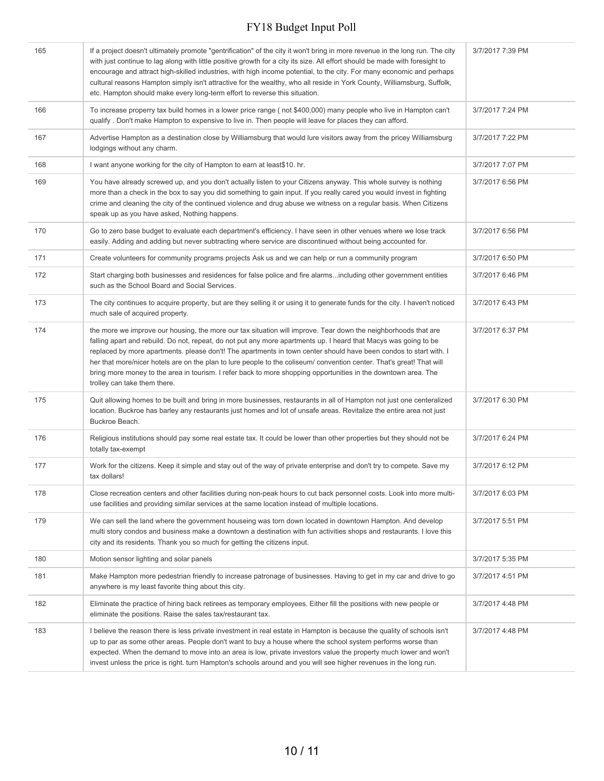| 165 | If a project doesn't ultimately promote "gentrification" of the city it won't bring in more revenue in the long run. The city<br>with just continue to lag along with little positive growth for a city its size. All effort should be made with foresight to<br>encourage and attract high-skilled industries, with high income potential, to the city. For many economic and perhaps<br>cultural reasons Hampton simply isn't attractive for the wealthy, who all reside in York County, Williamsburg, Suffolk,<br>etc. Hampton should make every long-term effort to reverse this situation.                                    | 3/7/2017 7:39 PM |
|-----|------------------------------------------------------------------------------------------------------------------------------------------------------------------------------------------------------------------------------------------------------------------------------------------------------------------------------------------------------------------------------------------------------------------------------------------------------------------------------------------------------------------------------------------------------------------------------------------------------------------------------------|------------------|
| 166 | To increase properry tax build homes in a lower price range (not \$400,000) many people who live in Hampton can't<br>qualify . Don't make Hampton to expensive to live in. Then people will leave for places they can afford.                                                                                                                                                                                                                                                                                                                                                                                                      | 3/7/2017 7:24 PM |
| 167 | Advertise Hampton as a destination close by Williamsburg that would lure visitors away from the pricey Williamsburg<br>lodgings without any charm.                                                                                                                                                                                                                                                                                                                                                                                                                                                                                 | 3/7/2017 7:22 PM |
| 168 | I want anyone working for the city of Hampton to earn at least\$10. hr.                                                                                                                                                                                                                                                                                                                                                                                                                                                                                                                                                            | 3/7/2017 7:07 PM |
| 169 | You have already screwed up, and you don't actually listen to your Citizens anyway. This whole survey is nothing<br>more than a check in the box to say you did something to gain input. If you really cared you would invest in fighting<br>crime and cleaning the city of the continued violence and drug abuse we witness on a regular basis. When Citizens<br>speak up as you have asked, Nothing happens.                                                                                                                                                                                                                     | 3/7/2017 6:56 PM |
| 170 | Go to zero base budget to evaluate each department's efficiency. I have seen in other venues where we lose track<br>easily. Adding and adding but never subtracting where service are discontinued without being accounted for.                                                                                                                                                                                                                                                                                                                                                                                                    | 3/7/2017 6:56 PM |
| 171 | Create volunteers for community programs projects Ask us and we can help or run a community program                                                                                                                                                                                                                                                                                                                                                                                                                                                                                                                                | 3/7/2017 6:50 PM |
| 172 | Start charging both businesses and residences for false police and fire alarmsincluding other government entities<br>such as the School Board and Social Services.                                                                                                                                                                                                                                                                                                                                                                                                                                                                 | 3/7/2017 6:46 PM |
| 173 | The city continues to acquire property, but are they selling it or using it to generate funds for the city. I haven't noticed<br>much sale of acquired property.                                                                                                                                                                                                                                                                                                                                                                                                                                                                   | 3/7/2017 6:43 PM |
| 174 | the more we improve our housing, the more our tax situation will improve. Tear down the neighborhoods that are<br>falling apart and rebuild. Do not, repeat, do not put any more apartments up. I heard that Macys was going to be<br>replaced by more apartments. please don't! The apartments in town center should have been condos to start with. I<br>her that more/nicer hotels are on the plan to lure people to the coliseum/ convention center. That's great! That will<br>bring more money to the area in tourism. I refer back to more shopping opportunities in the downtown area. The<br>trolley can take them there. | 3/7/2017 6:37 PM |
| 175 | Quit allowing homes to be built and bring in more businesses, restaurants in all of Hampton not just one centeralized<br>location. Buckroe has barley any restaurants just homes and lot of unsafe areas. Revitalize the entire area not just<br>Buckroe Beach.                                                                                                                                                                                                                                                                                                                                                                    | 3/7/2017 6:30 PM |
| 176 | Religious institutions should pay some real estate tax. It could be lower than other properties but they should not be<br>totally tax-exempt                                                                                                                                                                                                                                                                                                                                                                                                                                                                                       | 3/7/2017 6:24 PM |
| 177 | Work for the citizens. Keep it simple and stay out of the way of private enterprise and don't try to compete. Save my<br>tax dollars!                                                                                                                                                                                                                                                                                                                                                                                                                                                                                              | 3/7/2017 6:12 PM |
| 178 | Close recreation centers and other facilities during non-peak hours to cut back personnel costs. Look into more multi-<br>use facilities and providing similar services at the same location instead of multiple locations.                                                                                                                                                                                                                                                                                                                                                                                                        | 3/7/2017 6:03 PM |
| 179 | We can sell the land where the government houseing was torn down located in downtown Hampton. And develop<br>multi story condos and business make a downtown a destination with fun activities shops and restaurants. I love this<br>city and its residents. Thank you so much for getting the citizens input.                                                                                                                                                                                                                                                                                                                     | 3/7/2017 5:51 PM |
| 180 | Motion sensor lighting and solar panels                                                                                                                                                                                                                                                                                                                                                                                                                                                                                                                                                                                            | 3/7/2017 5:35 PM |
| 181 | Make Hampton more pedestrian friendly to increase patronage of businesses. Having to get in my car and drive to go<br>anywhere is my least favorite thing about this city.                                                                                                                                                                                                                                                                                                                                                                                                                                                         | 3/7/2017 4:51 PM |
| 182 | Eliminate the practice of hiring back retirees as temporary employees. Either fill the positions with new people or<br>eliminate the positions. Raise the sales tax/restaurant tax.                                                                                                                                                                                                                                                                                                                                                                                                                                                | 3/7/2017 4:48 PM |
| 183 | I believe the reason there is less private investment in real estate in Hampton is because the quality of schools isn't<br>up to par as some other areas. People don't want to buy a house where the school system performs worse than<br>expected. When the demand to move into an area is low, private investors value the property much lower and won't<br>invest unless the price is right. turn Hampton's schools around and you will see higher revenues in the long run.                                                                                                                                                    | 3/7/2017 4:48 PM |